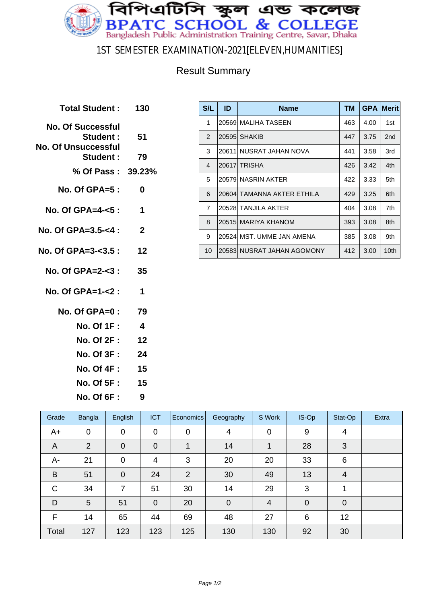

### 1ST SEMESTER EXAMINATION-2021[ELEVEN,HUMANITIES]

### Result Summary

| Total Student: 130                                                 |                         |
|--------------------------------------------------------------------|-------------------------|
| <b>No. Of Successful</b><br><b>Student:</b><br>No. Of Unsuccessful | -51                     |
| <b>Student:</b>                                                    | 79                      |
| % Of Pass: 39.23%                                                  |                         |
| No. Of GPA= $5:$                                                   | 0                       |
| No. Of GPA=4- $5$ :                                                | $\overline{\mathbf{1}}$ |
| No. Of GPA=3.5-<4 :                                                | $\overline{2}$          |
| No. Of GPA=3-<3.5 : 12                                             |                         |
| No. Of GPA=2-<3 :                                                  | 35                      |
| No. Of GPA=1-<2 :                                                  | $\overline{\mathbf{1}}$ |
| No. Of GPA= $0: 79$                                                |                         |
| <b>No. Of 1F :</b>                                                 | $\overline{\mathbf{4}}$ |
| No. Of 2F: 12                                                      |                         |
| No. Of 3F :                                                        | - 24                    |
| No. Of 4F: 15                                                      |                         |
| No. Of 5F : 15                                                     |                         |
| <b>No. Of 6F :</b>                                                 | 9                       |

| S/L            | ID    | <b>Name</b>                | <b>TM</b> | <b>GPA</b> | <b>Merit</b>    |
|----------------|-------|----------------------------|-----------|------------|-----------------|
| 1              | 20569 | I MALIHA TASEEN            | 463       | 4.00       | 1st             |
| $\mathcal{P}$  | 20595 | <b>SHAKIB</b>              | 447       | 3.75       | 2 <sub>nd</sub> |
| 3              |       | 20611 NUSRAT JAHAN NOVA    | 441       | 3.58       | 3rd             |
| $\overline{4}$ |       | 20617 TRISHA               | 426       | 3.42       | 4th             |
| 5              |       | 20579 NASRIN AKTER         | 422       | 3.33       | 5th             |
| 6              |       | 20604 TAMANNA AKTER ETHILA | 429       | 3.25       | 6th             |
| $\overline{7}$ | 20528 | TANJILA AKTER              | 404       | 3.08       | 7th             |
| 8              |       | 20515 MARIYA KHANOM        | 393       | 3.08       | 8th             |
| 9              |       | 20524 MST. UMME JAN AMENA  | 385       | 3.08       | 9th             |
| 10             |       | 20583 NUSRAT JAHAN AGOMONY | 412       | 3.00       | 10th            |

| Grade       | Bangla         | English        | <b>ICT</b>     | Economics   | Geography      | S Work         | IS-Op       | Stat-Op     | Extra |
|-------------|----------------|----------------|----------------|-------------|----------------|----------------|-------------|-------------|-------|
| A+          | $\mathbf 0$    | $\mathbf 0$    | $\mathbf 0$    | $\mathbf 0$ | 4              | 0              | 9           | 4           |       |
| A           | $\overline{2}$ | $\overline{0}$ | $\mathbf 0$    | 1           | 14             |                | 28          | 3           |       |
| $A -$       | 21             | $\mathbf 0$    | $\overline{4}$ | 3           | 20             | 20             | 33          | 6           |       |
| B           | 51             | $\overline{0}$ | 24             | 2           | 30             | 49             | 13          | 4           |       |
| $\mathsf C$ | 34             | 7              | 51             | 30          | 14             | 29             | 3           | 1           |       |
| D           | 5              | 51             | $\mathbf 0$    | 20          | $\overline{0}$ | $\overline{4}$ | $\mathbf 0$ | $\mathbf 0$ |       |
| F           | 14             | 65             | 44             | 69          | 48             | 27             | 6           | 12          |       |
| Total       | 127            | 123            | 123            | 125         | 130            | 130            | 92          | 30          |       |